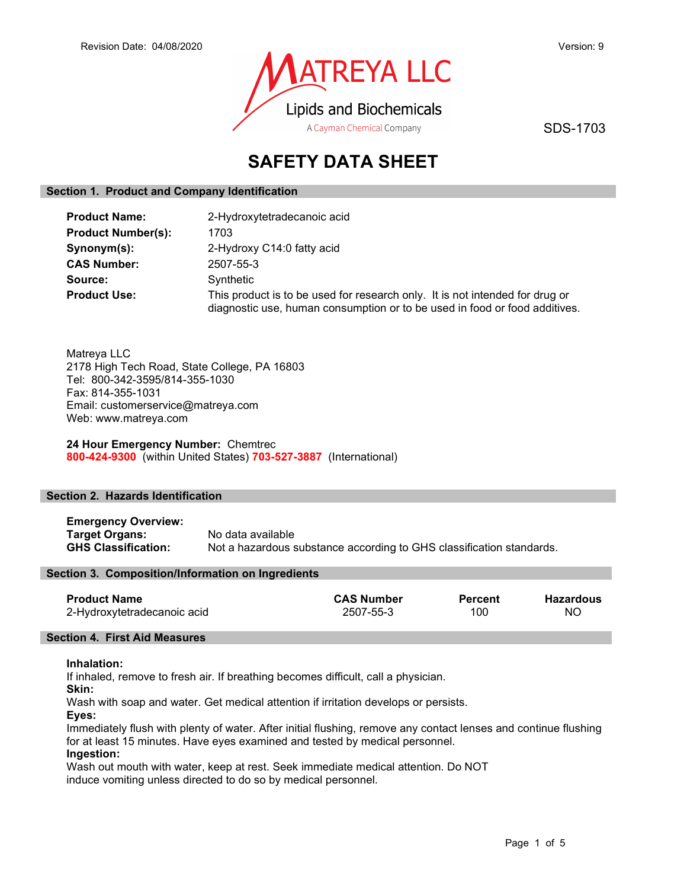

SDS-1703

# SAFETY DATA SHEET

# Section 1. Product and Company Identification

| <b>Product Name:</b>      | 2-Hydroxytetradecanoic acid                                                                                                                                |  |
|---------------------------|------------------------------------------------------------------------------------------------------------------------------------------------------------|--|
| <b>Product Number(s):</b> | 1703                                                                                                                                                       |  |
| Synonym(s):               | 2-Hydroxy C14:0 fatty acid                                                                                                                                 |  |
| <b>CAS Number:</b>        | 2507-55-3                                                                                                                                                  |  |
| Source:                   | Synthetic                                                                                                                                                  |  |
| <b>Product Use:</b>       | This product is to be used for research only. It is not intended for drug or<br>diagnostic use, human consumption or to be used in food or food additives. |  |

Matreya LLC 2178 High Tech Road, State College, PA 16803 Tel: 800-342-3595/814-355-1030 Fax: 814-355-1031 Email: customerservice@matreya.com Web: www.matreya.com

24 Hour Emergency Number: Chemtrec 800-424-9300 (within United States) 703-527-3887 (International)

## Section 2. Hazards Identification

Emergency Overview: Target Organs: No data available GHS Classification: Not a hazardous substance according to GHS classification standards.

## Section 3. Composition/Information on Ingredients

| <b>Product Name</b>         | <b>CAS Number</b> | <b>Percent</b> | <b>Hazardous</b> |
|-----------------------------|-------------------|----------------|------------------|
| 2-Hydroxytetradecanoic acid | 2507-55-3         | 100            | <b>NO</b>        |

## Section 4. First Aid Measures

#### Inhalation:

If inhaled, remove to fresh air. If breathing becomes difficult, call a physician.

Skin:

Wash with soap and water. Get medical attention if irritation develops or persists.

Eyes:

Immediately flush with plenty of water. After initial flushing, remove any contact lenses and continue flushing for at least 15 minutes. Have eyes examined and tested by medical personnel.

## Ingestion:

Wash out mouth with water, keep at rest. Seek immediate medical attention. Do NOT induce vomiting unless directed to do so by medical personnel.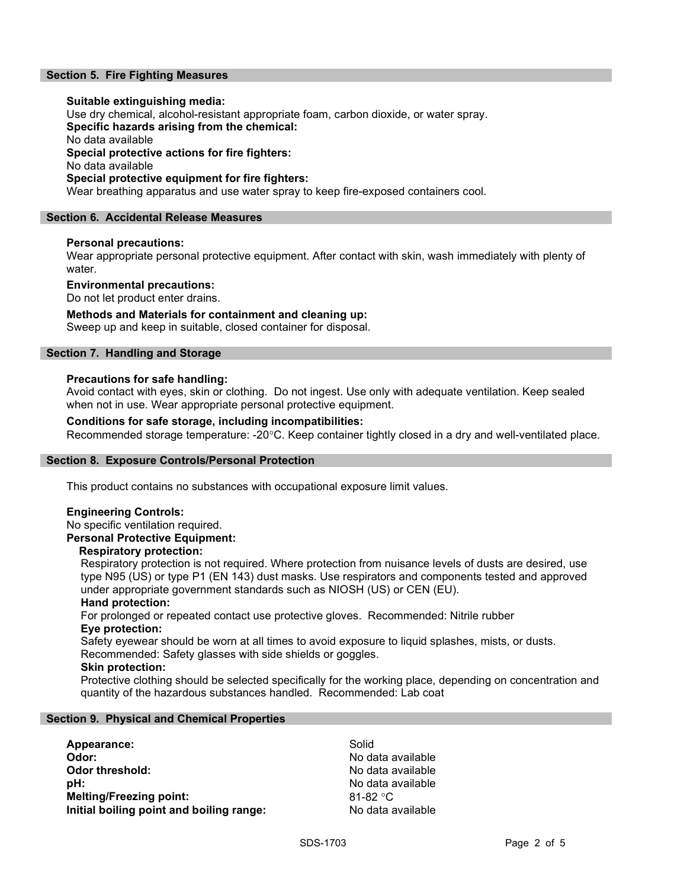# Section 5. Fire Fighting Measures

### Suitable extinguishing media:

Use dry chemical, alcohol-resistant appropriate foam, carbon dioxide, or water spray.

Specific hazards arising from the chemical:

No data available

Special protective actions for fire fighters:

No data available

## Special protective equipment for fire fighters:

Wear breathing apparatus and use water spray to keep fire-exposed containers cool.

## Section 6. Accidental Release Measures

## Personal precautions:

Wear appropriate personal protective equipment. After contact with skin, wash immediately with plenty of water.

### Environmental precautions:

Do not let product enter drains.

## Methods and Materials for containment and cleaning up:

Sweep up and keep in suitable, closed container for disposal.

## Section 7. Handling and Storage

## Precautions for safe handling:

Avoid contact with eyes, skin or clothing. Do not ingest. Use only with adequate ventilation. Keep sealed when not in use. Wear appropriate personal protective equipment.

## Conditions for safe storage, including incompatibilities:

Recommended storage temperature: -20°C. Keep container tightly closed in a dry and well-ventilated place.

## Section 8. Exposure Controls/Personal Protection

This product contains no substances with occupational exposure limit values.

## Engineering Controls:

No specific ventilation required.

# Personal Protective Equipment:

#### Respiratory protection:

Respiratory protection is not required. Where protection from nuisance levels of dusts are desired, use type N95 (US) or type P1 (EN 143) dust masks. Use respirators and components tested and approved under appropriate government standards such as NIOSH (US) or CEN (EU).

#### Hand protection:

For prolonged or repeated contact use protective gloves. Recommended: Nitrile rubber Eye protection:

Safety eyewear should be worn at all times to avoid exposure to liquid splashes, mists, or dusts. Recommended: Safety glasses with side shields or goggles.

# Skin protection:

Protective clothing should be selected specifically for the working place, depending on concentration and quantity of the hazardous substances handled. Recommended: Lab coat

# Section 9. Physical and Chemical Properties

Appearance: Solid Odor: No data available **Odor threshold:** No data available **pH:**  $\blacksquare$ Melting/Freezing point: 81-82 °C Initial boiling point and boiling range: No data available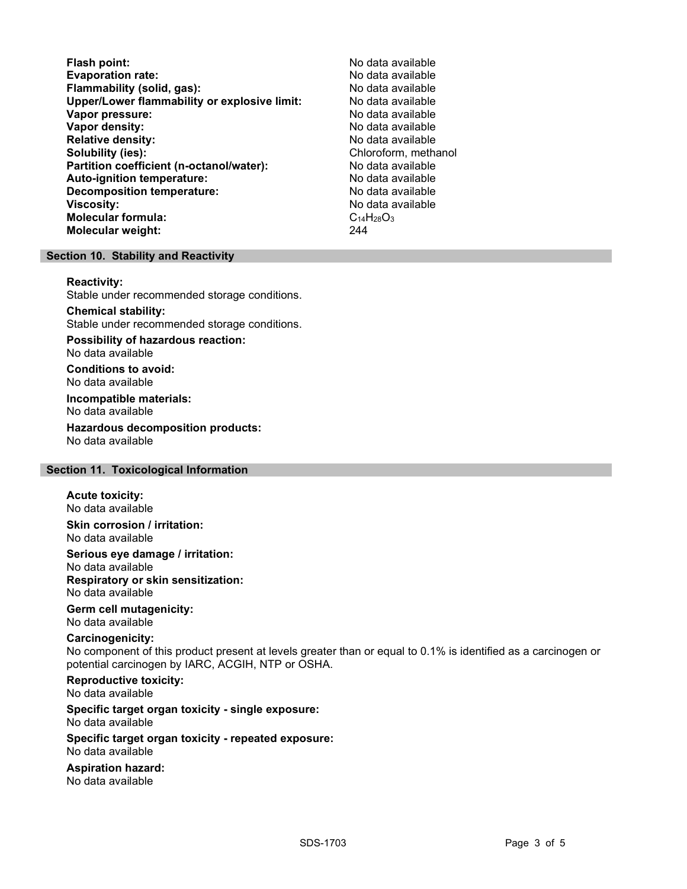Flash point:<br>
Evaporation rate:<br>
Evaporation rate: No data available Evaporation rate:<br>
Flammability (solid. gas): No data available Flammability (solid, gas): Upper/Lower flammability or explosive limit: No data available Vapor pressure: No data available **Vapor density:** No data available in the set of the set of the No data available Relative density: No data available Solubility (ies): Chloroform, methanol Partition coefficient (n-octanol/water): No data available Auto-ignition temperature:  $\begin{array}{ccc} \text{Auto-ignition temperature:} & \text{No data available} \end{array}$ Decomposition temperature: **Viscosity:** No data available in the set of the set of the set of the set of the set of the set of the set of the set of the set of the set of the set of the set of the set of the set of the set of the set of the set of t Molecular formula:  $C_{14}H_{28}O_3$ <br>Molecular weight:  $244$ Molecular weight:

# Section 10. Stability and Reactivity

#### Reactivity:

Stable under recommended storage conditions.

#### Chemical stability: Stable under recommended storage conditions.

Possibility of hazardous reaction: No data available

Conditions to avoid: No data available

Incompatible materials: No data available

Hazardous decomposition products: No data available

# Section 11. Toxicological Information

## Acute toxicity:

No data available

Skin corrosion / irritation: No data available

Serious eye damage / irritation: No data available Respiratory or skin sensitization: No data available

# Germ cell mutagenicity:

No data available

# Carcinogenicity:

No component of this product present at levels greater than or equal to 0.1% is identified as a carcinogen or potential carcinogen by IARC, ACGIH, NTP or OSHA.

Reproductive toxicity: No data available

Specific target organ toxicity - single exposure: No data available

### Specific target organ toxicity - repeated exposure: No data available

Aspiration hazard: No data available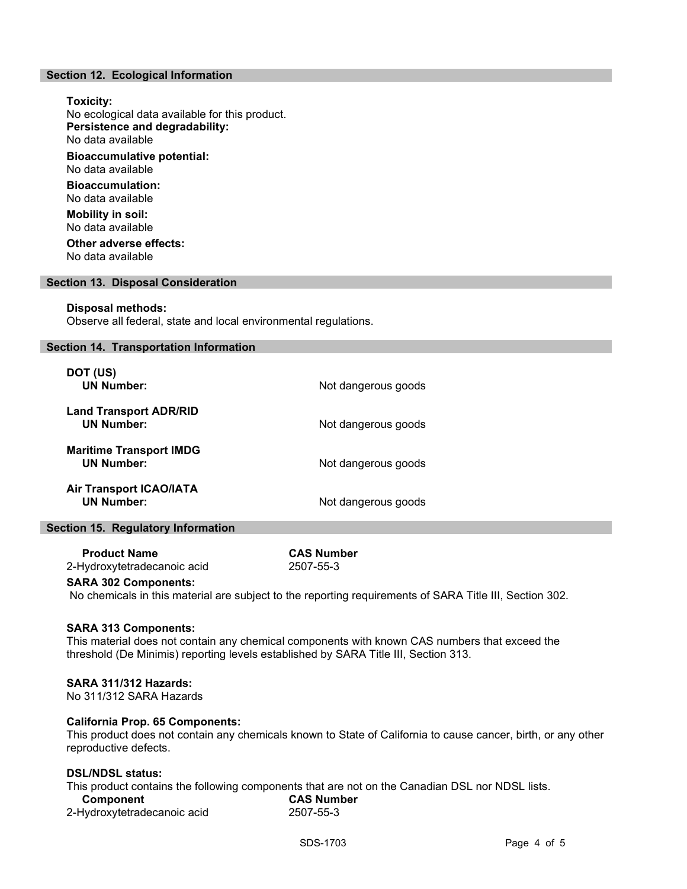## Section 12. Ecological Information

Toxicity: No ecological data available for this product. Persistence and degradability: No data available Bioaccumulative potential: No data available Bioaccumulation: No data available Mobility in soil: No data available Other adverse effects:

No data available

#### Section 13. Disposal Consideration

#### Disposal methods:

Observe all federal, state and local environmental regulations.

### Section 14. Transportation Information

| DOT (US)<br><b>UN Number:</b>                       | Not dangerous goods |
|-----------------------------------------------------|---------------------|
| <b>Land Transport ADR/RID</b><br><b>UN Number:</b>  | Not dangerous goods |
| <b>Maritime Transport IMDG</b><br><b>UN Number:</b> | Not dangerous goods |
| <b>Air Transport ICAO/IATA</b><br><b>UN Number:</b> | Not dangerous goods |

## Section 15. Regulatory Information

 Product Name CAS Number 2-Hydroxytetradecanoic acid 2507-55-3

#### SARA 302 Components:

No chemicals in this material are subject to the reporting requirements of SARA Title III, Section 302.

#### SARA 313 Components:

This material does not contain any chemical components with known CAS numbers that exceed the threshold (De Minimis) reporting levels established by SARA Title III, Section 313.

#### SARA 311/312 Hazards:

No 311/312 SARA Hazards

## California Prop. 65 Components:

This product does not contain any chemicals known to State of California to cause cancer, birth, or any other reproductive defects.

### DSL/NDSL status:

This product contains the following components that are not on the Canadian DSL nor NDSL lists. lumber

| Component                   | <b>CAS Numi</b> |  |
|-----------------------------|-----------------|--|
| 2-Hydroxytetradecanoic acid | 2507-55-3       |  |